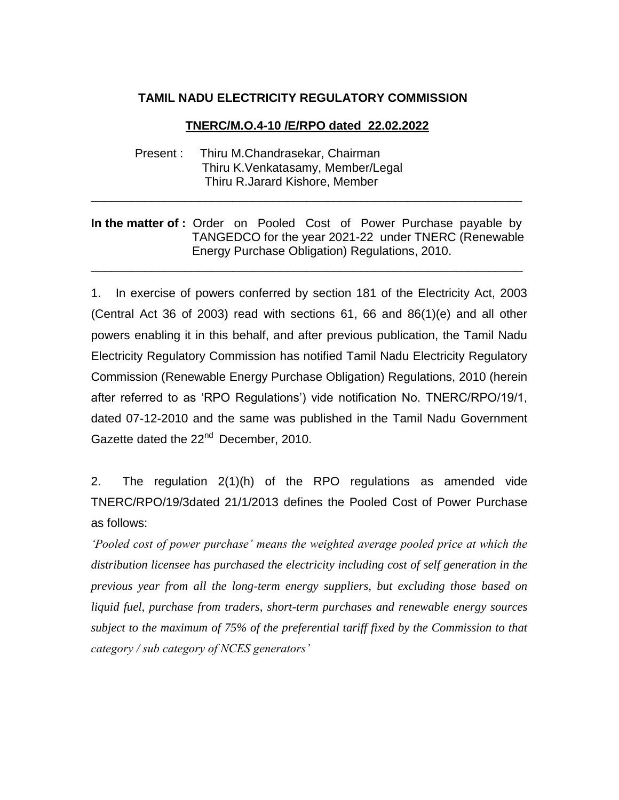## **TAMIL NADU ELECTRICITY REGULATORY COMMISSION**

## **TNERC/M.O.4-10 /E/RPO dated 22.02.2022**

 Present : Thiru M.Chandrasekar, Chairman Thiru [K.Venkatasamy,](http://tnerc.gov.in/honour.htm#venkat) Member/Legal Thiru R.Jarard Kishore, Member

## In the matter of : Order on Pooled Cost of Power Purchase payable by TANGEDCO for the year 2021-22 under TNERC (Renewable Energy Purchase Obligation) Regulations, 2010.

\_\_\_\_\_\_\_\_\_\_\_\_\_\_\_\_\_\_\_\_\_\_\_\_\_\_\_\_\_\_\_\_\_\_\_\_\_\_\_\_\_\_\_\_\_\_\_\_\_\_\_\_\_\_\_\_\_\_\_\_\_\_\_\_

\_\_\_\_\_\_\_\_\_\_\_\_\_\_\_\_\_\_\_\_\_\_\_\_\_\_\_\_\_\_\_\_\_\_\_\_\_\_\_\_\_\_\_\_\_\_\_\_\_\_\_\_\_\_\_\_\_\_\_\_\_\_\_\_

1. In exercise of powers conferred by section 181 of the Electricity Act, 2003 (Central Act 36 of 2003) read with sections  $61, 66$  and  $86(1)(e)$  and all other powers enabling it in this behalf, and after previous publication, the Tamil Nadu Electricity Regulatory Commission has notified Tamil Nadu Electricity Regulatory Commission (Renewable Energy Purchase Obligation) Regulations, 2010 (herein after referred to as 'RPO Regulations') vide notification No. TNERC/RPO/19/1, dated 07-12-2010 and the same was published in the Tamil Nadu Government Gazette dated the 22<sup>nd</sup> December, 2010.

2. The regulation 2(1)(h) of the RPO regulations as amended vide TNERC/RPO/19/3dated 21/1/2013 defines the Pooled Cost of Power Purchase as follows:

*'Pooled cost of power purchase' means the weighted average pooled price at which the distribution licensee has purchased the electricity including cost of self generation in the previous year from all the long-term energy suppliers, but excluding those based on liquid fuel, purchase from traders, short-term purchases and renewable energy sources subject to the maximum of 75% of the preferential tariff fixed by the Commission to that category / sub category of NCES generators'*